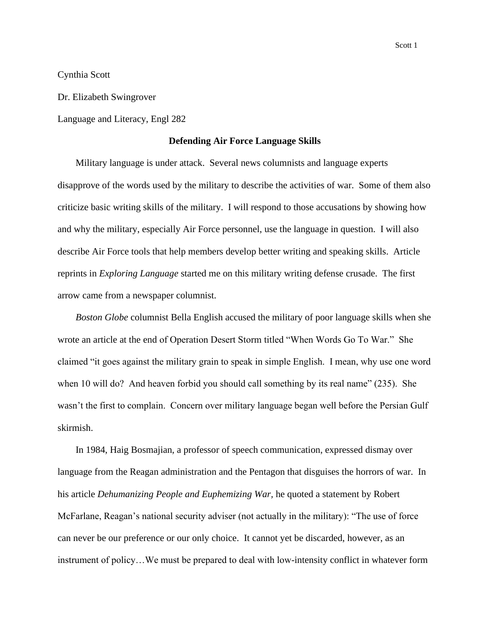Cynthia Scott

Dr. Elizabeth Swingrover

Language and Literacy, Engl 282

## **Defending Air Force Language Skills**

Military language is under attack. Several news columnists and language experts disapprove of the words used by the military to describe the activities of war. Some of them also criticize basic writing skills of the military. I will respond to those accusations by showing how and why the military, especially Air Force personnel, use the language in question. I will also describe Air Force tools that help members develop better writing and speaking skills. Article reprints in *Exploring Language* started me on this military writing defense crusade. The first arrow came from a newspaper columnist.

*Boston Globe* columnist Bella English accused the military of poor language skills when she wrote an article at the end of Operation Desert Storm titled "When Words Go To War." She claimed "it goes against the military grain to speak in simple English. I mean, why use one word when 10 will do? And heaven forbid you should call something by its real name" (235). She wasn't the first to complain. Concern over military language began well before the Persian Gulf skirmish.

In 1984, Haig Bosmajian, a professor of speech communication, expressed dismay over language from the Reagan administration and the Pentagon that disguises the horrors of war. In his article *Dehumanizing People and Euphemizing War,* he quoted a statement by Robert McFarlane, Reagan's national security adviser (not actually in the military): "The use of force can never be our preference or our only choice. It cannot yet be discarded, however, as an instrument of policy…We must be prepared to deal with low-intensity conflict in whatever form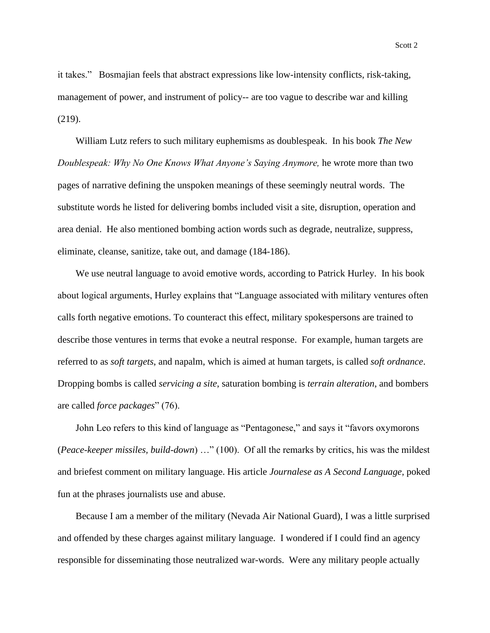it takes." Bosmajian feels that abstract expressions like low-intensity conflicts, risk-taking, management of power, and instrument of policy-- are too vague to describe war and killing (219).

William Lutz refers to such military euphemisms as doublespeak. In his book *The New Doublespeak: Why No One Knows What Anyone's Saying Anymore, he wrote more than two* pages of narrative defining the unspoken meanings of these seemingly neutral words. The substitute words he listed for delivering bombs included visit a site, disruption, operation and area denial. He also mentioned bombing action words such as degrade, neutralize, suppress, eliminate, cleanse, sanitize, take out, and damage (184-186).

We use neutral language to avoid emotive words, according to Patrick Hurley. In his book about logical arguments, Hurley explains that "Language associated with military ventures often calls forth negative emotions. To counteract this effect, military spokespersons are trained to describe those ventures in terms that evoke a neutral response. For example, human targets are referred to as *soft targets*, and napalm, which is aimed at human targets, is called *soft ordnance*. Dropping bombs is called *servicing a site*, saturation bombing is *terrain alteration*, and bombers are called *force packages*" (76).

John Leo refers to this kind of language as "Pentagonese," and says it "favors oxymorons (*Peace-keeper missiles, build-down*) …" (100). Of all the remarks by critics, his was the mildest and briefest comment on military language. His article *Journalese as A Second Language*, poked fun at the phrases journalists use and abuse.

Because I am a member of the military (Nevada Air National Guard), I was a little surprised and offended by these charges against military language. I wondered if I could find an agency responsible for disseminating those neutralized war-words. Were any military people actually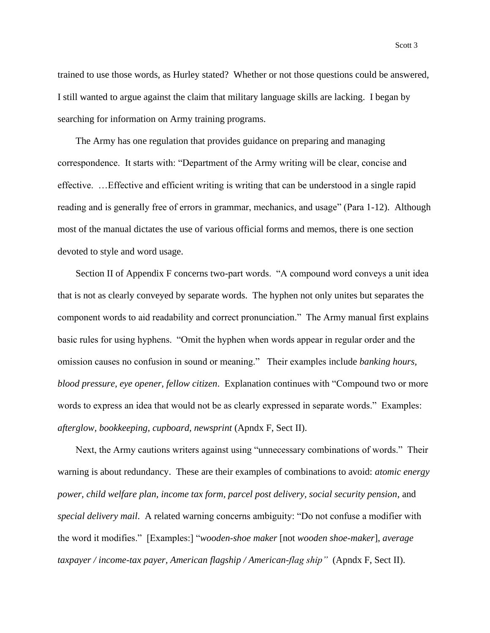trained to use those words, as Hurley stated? Whether or not those questions could be answered, I still wanted to argue against the claim that military language skills are lacking. I began by searching for information on Army training programs.

The Army has one regulation that provides guidance on preparing and managing correspondence. It starts with: "Department of the Army writing will be clear, concise and effective. …Effective and efficient writing is writing that can be understood in a single rapid reading and is generally free of errors in grammar, mechanics, and usage" (Para 1-12). Although most of the manual dictates the use of various official forms and memos, there is one section devoted to style and word usage.

Section II of Appendix F concerns two-part words. "A compound word conveys a unit idea that is not as clearly conveyed by separate words. The hyphen not only unites but separates the component words to aid readability and correct pronunciation." The Army manual first explains basic rules for using hyphens. "Omit the hyphen when words appear in regular order and the omission causes no confusion in sound or meaning." Their examples include *banking hours, blood pressure, eye opener, fellow citizen*. Explanation continues with "Compound two or more words to express an idea that would not be as clearly expressed in separate words." Examples: *afterglow, bookkeeping, cupboard, newsprint* (Apndx F, Sect II).

Next, the Army cautions writers against using "unnecessary combinations of words." Their warning is about redundancy. These are their examples of combinations to avoid: *atomic energy power, child welfare plan, income tax form, parcel post delivery, social security pension*, and *special delivery mail*. A related warning concerns ambiguity: "Do not confuse a modifier with the word it modifies." [Examples:] "*wooden-shoe maker* [not *wooden shoe-maker*], *average taxpayer / income-tax payer, American flagship / American-flag ship"* (Apndx F, Sect II).

Scott 3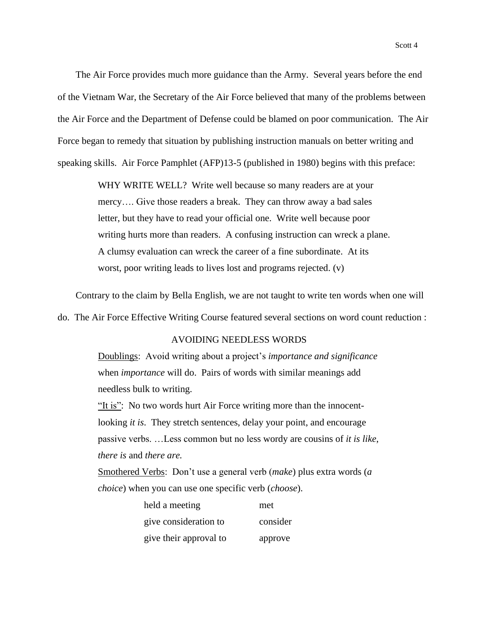The Air Force provides much more guidance than the Army. Several years before the end of the Vietnam War, the Secretary of the Air Force believed that many of the problems between the Air Force and the Department of Defense could be blamed on poor communication. The Air Force began to remedy that situation by publishing instruction manuals on better writing and speaking skills. Air Force Pamphlet (AFP)13-5 (published in 1980) begins with this preface:

> WHY WRITE WELL? Write well because so many readers are at your mercy…. Give those readers a break. They can throw away a bad sales letter, but they have to read your official one. Write well because poor writing hurts more than readers. A confusing instruction can wreck a plane. A clumsy evaluation can wreck the career of a fine subordinate. At its worst, poor writing leads to lives lost and programs rejected. (v)

Contrary to the claim by Bella English, we are not taught to write ten words when one will

do. The Air Force Effective Writing Course featured several sections on word count reduction :

### AVOIDING NEEDLESS WORDS

Doublings: Avoid writing about a project's *importance and significance* when *importance* will do. Pairs of words with similar meanings add needless bulk to writing.

"It is": No two words hurt Air Force writing more than the innocentlooking *it is*. They stretch sentences, delay your point, and encourage passive verbs. …Less common but no less wordy are cousins of *it is like*, *there is* and *there are.*

Smothered Verbs: Don't use a general verb (*make*) plus extra words (*a choice*) when you can use one specific verb (*choose*).

| held a meeting         | met      |
|------------------------|----------|
| give consideration to  | consider |
| give their approval to | approve  |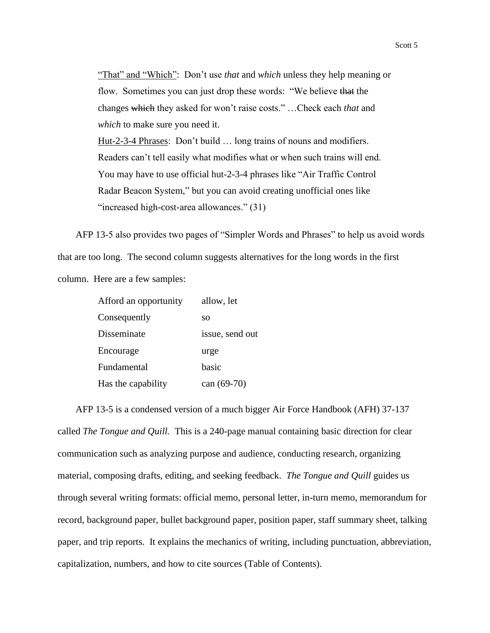"That" and "Which": Don't use *that* and *which* unless they help meaning or flow. Sometimes you can just drop these words: "We believe that the changes which they asked for won't raise costs." …Check each *that* and *which* to make sure you need it. Hut-2-3-4 Phrases: Don't build … long trains of nouns and modifiers. Readers can't tell easily what modifies what or when such trains will end. You may have to use official hut-2-3-4 phrases like "Air Traffic Control Radar Beacon System," but you can avoid creating unofficial ones like "increased high-cost-area allowances." (31)

AFP 13-5 also provides two pages of "Simpler Words and Phrases" to help us avoid words that are too long. The second column suggests alternatives for the long words in the first column. Here are a few samples:

| Afford an opportunity | allow, let      |
|-----------------------|-----------------|
| Consequently          | SO              |
| Disseminate           | issue, send out |
| Encourage             | urge            |
| Fundamental           | basic           |
| Has the capability    | can $(69-70)$   |

AFP 13-5 is a condensed version of a much bigger Air Force Handbook (AFH) 37-137 called *The Tongue and Quill.* This is a 240-page manual containing basic direction for clear communication such as analyzing purpose and audience, conducting research, organizing material, composing drafts, editing, and seeking feedback. *The Tongue and Quill* guides us through several writing formats: official memo, personal letter, in-turn memo, memorandum for record, background paper, bullet background paper, position paper, staff summary sheet, talking paper, and trip reports. It explains the mechanics of writing, including punctuation, abbreviation, capitalization, numbers, and how to cite sources (Table of Contents).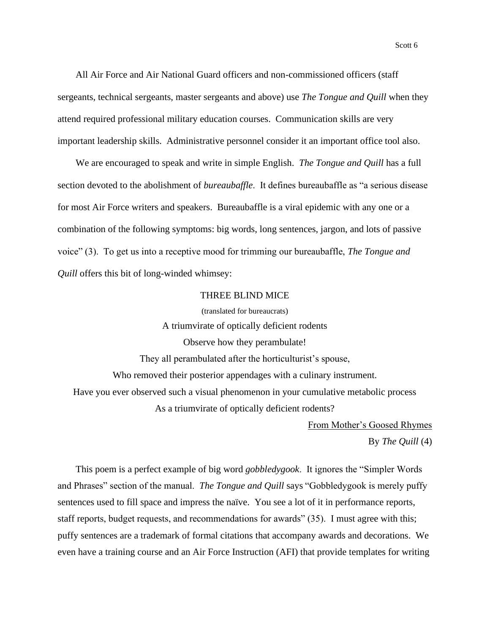All Air Force and Air National Guard officers and non-commissioned officers (staff sergeants, technical sergeants, master sergeants and above) use *The Tongue and Quill* when they attend required professional military education courses. Communication skills are very important leadership skills. Administrative personnel consider it an important office tool also.

We are encouraged to speak and write in simple English. *The Tongue and Quill* has a full section devoted to the abolishment of *bureaubaffle*. It defines bureaubaffle as "a serious disease for most Air Force writers and speakers. Bureaubaffle is a viral epidemic with any one or a combination of the following symptoms: big words, long sentences, jargon, and lots of passive voice" (3). To get us into a receptive mood for trimming our bureaubaffle, *The Tongue and Quill* offers this bit of long-winded whimsey:

# THREE BLIND MICE (translated for bureaucrats)

A triumvirate of optically deficient rodents Observe how they perambulate! They all perambulated after the horticulturist's spouse, Who removed their posterior appendages with a culinary instrument. Have you ever observed such a visual phenomenon in your cumulative metabolic process As a triumvirate of optically deficient rodents?

From Mother's Goosed Rhymes

By *The Quill* (4)

This poem is a perfect example of big word *gobbledygook*. It ignores the "Simpler Words and Phrases" section of the manual. *The Tongue and Quill* says "Gobbledygook is merely puffy sentences used to fill space and impress the naïve. You see a lot of it in performance reports, staff reports, budget requests, and recommendations for awards" (35). I must agree with this; puffy sentences are a trademark of formal citations that accompany awards and decorations. We even have a training course and an Air Force Instruction (AFI) that provide templates for writing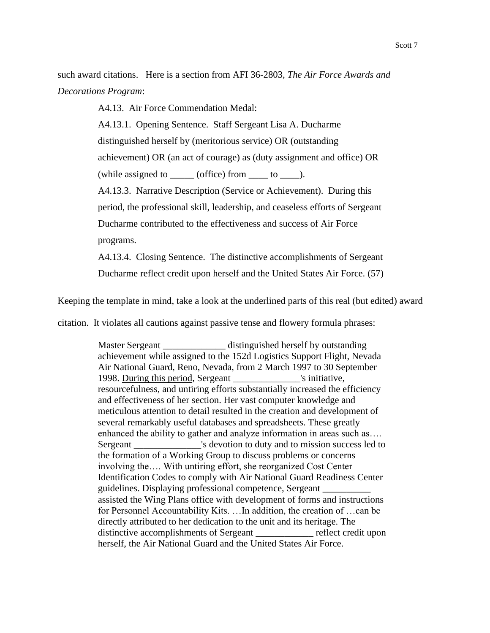such award citations. Here is a section from AFI 36-2803, *The Air Force Awards and Decorations Program*:

A4.13. Air Force Commendation Medal:

A4.13.1. Opening Sentence. Staff Sergeant Lisa A. Ducharme

distinguished herself by (meritorious service) OR (outstanding

achievement) OR (an act of courage) as (duty assignment and office) OR

(while assigned to  $\_\_$  (office) from  $\_\_$  to  $\_\_$ ).

A4.13.3. Narrative Description (Service or Achievement). During this

period, the professional skill, leadership, and ceaseless efforts of Sergeant

Ducharme contributed to the effectiveness and success of Air Force programs.

A4.13.4. Closing Sentence. The distinctive accomplishments of Sergeant Ducharme reflect credit upon herself and the United States Air Force. (57)

Keeping the template in mind, take a look at the underlined parts of this real (but edited) award

citation. It violates all cautions against passive tense and flowery formula phrases:

Master Sergeant distinguished herself by outstanding achievement while assigned to the 152d Logistics Support Flight, Nevada Air National Guard, Reno, Nevada, from 2 March 1997 to 30 September 1998. During this period, Sergeant \_\_\_\_\_\_\_\_\_\_\_\_\_\_'s initiative, resourcefulness, and untiring efforts substantially increased the efficiency and effectiveness of her section. Her vast computer knowledge and meticulous attention to detail resulted in the creation and development of several remarkably useful databases and spreadsheets. These greatly enhanced the ability to gather and analyze information in areas such as…. Sergeant \_\_\_\_\_\_\_\_\_\_\_\_\_'s devotion to duty and to mission success led to the formation of a Working Group to discuss problems or concerns involving the…. With untiring effort, she reorganized Cost Center Identification Codes to comply with Air National Guard Readiness Center guidelines. Displaying professional competence, Sergeant \_\_\_\_\_\_\_\_\_\_ott assisted the Wing Plans office with development of forms and instructions for Personnel Accountability Kits. …In addition, the creation of …can be directly attributed to her dedication to the unit and its heritage. The distinctive accomplishments of Sergeant reflect credit upon herself, the Air National Guard and the United States Air Force.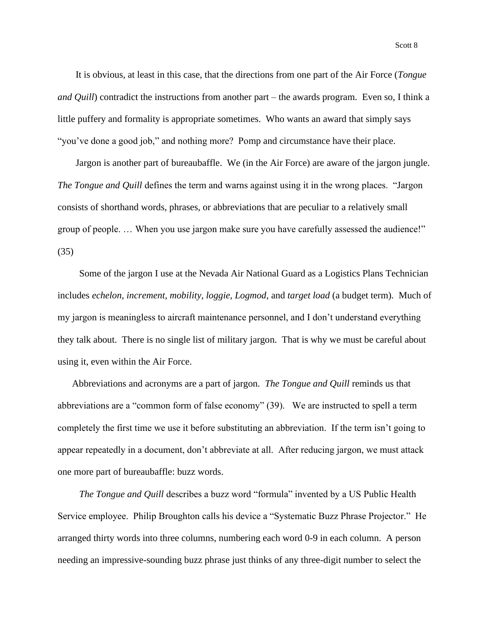It is obvious, at least in this case, that the directions from one part of the Air Force (*Tongue and Quill*) contradict the instructions from another part – the awards program. Even so, I think a little puffery and formality is appropriate sometimes. Who wants an award that simply says "you've done a good job," and nothing more? Pomp and circumstance have their place.

Jargon is another part of bureaubaffle. We (in the Air Force) are aware of the jargon jungle. *The Tongue and Quill* defines the term and warns against using it in the wrong places. "Jargon consists of shorthand words, phrases, or abbreviations that are peculiar to a relatively small group of people. … When you use jargon make sure you have carefully assessed the audience!" (35)

Some of the jargon I use at the Nevada Air National Guard as a Logistics Plans Technician includes *echelon, increment, mobility, loggie, Logmod,* and *target load* (a budget term)*.* Much of my jargon is meaningless to aircraft maintenance personnel, and I don't understand everything they talk about. There is no single list of military jargon. That is why we must be careful about using it, even within the Air Force.

Abbreviations and acronyms are a part of jargon. *The Tongue and Quill* reminds us that abbreviations are a "common form of false economy" (39). We are instructed to spell a term completely the first time we use it before substituting an abbreviation. If the term isn't going to appear repeatedly in a document, don't abbreviate at all. After reducing jargon, we must attack one more part of bureaubaffle: buzz words.

*The Tongue and Quill* describes a buzz word "formula" invented by a US Public Health Service employee. Philip Broughton calls his device a "Systematic Buzz Phrase Projector." He arranged thirty words into three columns, numbering each word 0-9 in each column. A person needing an impressive-sounding buzz phrase just thinks of any three-digit number to select the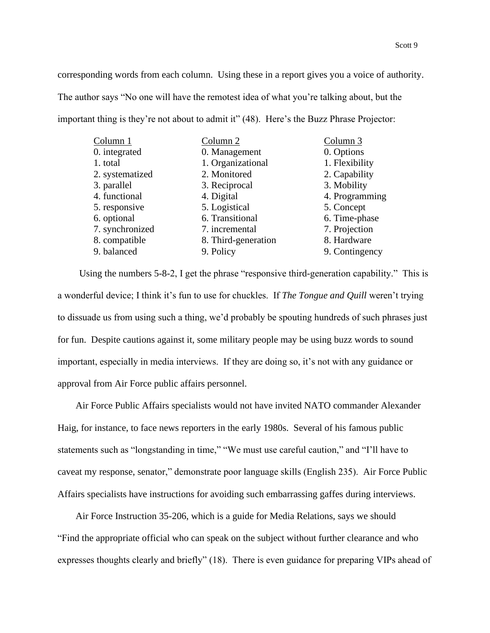corresponding words from each column. Using these in a report gives you a voice of authority. The author says "No one will have the remotest idea of what you're talking about, but the important thing is they're not about to admit it" (48). Here's the Buzz Phrase Projector:

| Column 1        | Column <sub>2</sub> | Column 3       |
|-----------------|---------------------|----------------|
| 0. integrated   | 0. Management       | 0. Options     |
| 1. total        | 1. Organizational   | 1. Flexibility |
| 2. systematized | 2. Monitored        | 2. Capability  |
| 3. parallel     | 3. Reciprocal       | 3. Mobility    |
| 4. functional   | 4. Digital          | 4. Programming |
| 5. responsive   | 5. Logistical       | 5. Concept     |
| 6. optional     | 6. Transitional     | 6. Time-phase  |
| 7. synchronized | 7. incremental      | 7. Projection  |
| 8. compatible   | 8. Third-generation | 8. Hardware    |
| 9. balanced     | 9. Policy           | 9. Contingency |

Using the numbers 5-8-2, I get the phrase "responsive third-generation capability." This is a wonderful device; I think it's fun to use for chuckles. If *The Tongue and Quill* weren't trying to dissuade us from using such a thing, we'd probably be spouting hundreds of such phrases just for fun. Despite cautions against it, some military people may be using buzz words to sound important, especially in media interviews. If they are doing so, it's not with any guidance or approval from Air Force public affairs personnel.

Air Force Public Affairs specialists would not have invited NATO commander Alexander Haig, for instance, to face news reporters in the early 1980s. Several of his famous public statements such as "longstanding in time," "We must use careful caution," and "I'll have to caveat my response, senator," demonstrate poor language skills (English 235). Air Force Public Affairs specialists have instructions for avoiding such embarrassing gaffes during interviews.

Air Force Instruction 35-206, which is a guide for Media Relations, says we should "Find the appropriate official who can speak on the subject without further clearance and who expresses thoughts clearly and briefly" (18). There is even guidance for preparing VIPs ahead of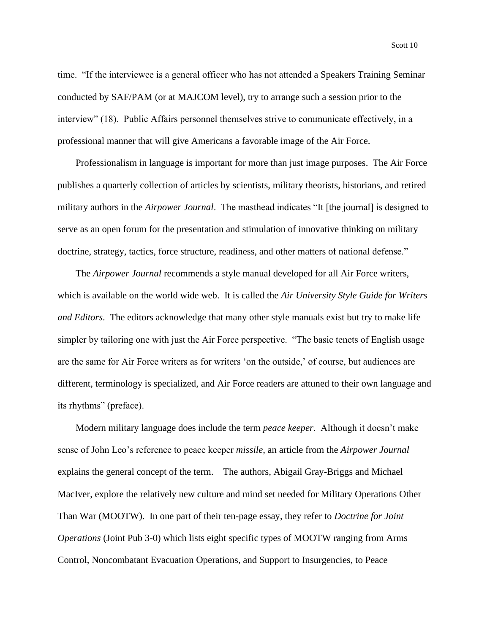time. "If the interviewee is a general officer who has not attended a Speakers Training Seminar conducted by SAF/PAM (or at MAJCOM level), try to arrange such a session prior to the interview" (18). Public Affairs personnel themselves strive to communicate effectively, in a professional manner that will give Americans a favorable image of the Air Force.

Professionalism in language is important for more than just image purposes. The Air Force publishes a quarterly collection of articles by scientists, military theorists, historians, and retired military authors in the *Airpower Journal*. The masthead indicates "It [the journal] is designed to serve as an open forum for the presentation and stimulation of innovative thinking on military doctrine, strategy, tactics, force structure, readiness, and other matters of national defense."

The *Airpower Journal* recommends a style manual developed for all Air Force writers, which is available on the world wide web. It is called the *Air University Style Guide for Writers and Editors*. The editors acknowledge that many other style manuals exist but try to make life simpler by tailoring one with just the Air Force perspective. "The basic tenets of English usage are the same for Air Force writers as for writers 'on the outside,' of course, but audiences are different, terminology is specialized, and Air Force readers are attuned to their own language and its rhythms" (preface).

Modern military language does include the term *peace keeper*. Although it doesn't make sense of John Leo's reference to peace keeper *missile*, an article from the *Airpower Journal* explains the general concept of the term. The authors, Abigail Gray-Briggs and Michael MacIver, explore the relatively new culture and mind set needed for Military Operations Other Than War (MOOTW). In one part of their ten-page essay, they refer to *Doctrine for Joint Operations* (Joint Pub 3-0) which lists eight specific types of MOOTW ranging from Arms Control, Noncombatant Evacuation Operations, and Support to Insurgencies, to Peace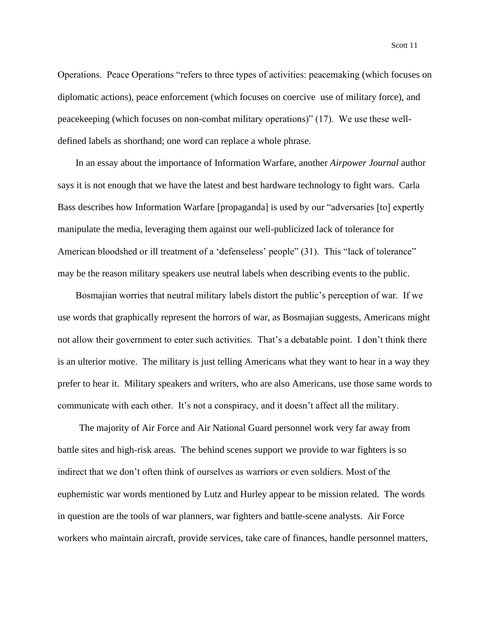Operations. Peace Operations "refers to three types of activities: peacemaking (which focuses on diplomatic actions), peace enforcement (which focuses on coercive use of military force), and peacekeeping (which focuses on non-combat military operations)" (17). We use these welldefined labels as shorthand; one word can replace a whole phrase.

In an essay about the importance of Information Warfare, another *Airpower Journal* author says it is not enough that we have the latest and best hardware technology to fight wars. Carla Bass describes how Information Warfare [propaganda] is used by our "adversaries [to] expertly manipulate the media, leveraging them against our well-publicized lack of tolerance for American bloodshed or ill treatment of a 'defenseless' people" (31). This "lack of tolerance" may be the reason military speakers use neutral labels when describing events to the public.

Bosmajian worries that neutral military labels distort the public's perception of war. If we use words that graphically represent the horrors of war, as Bosmajian suggests, Americans might not allow their government to enter such activities. That's a debatable point. I don't think there is an ulterior motive. The military is just telling Americans what they want to hear in a way they prefer to hear it. Military speakers and writers, who are also Americans, use those same words to communicate with each other. It's not a conspiracy, and it doesn't affect all the military.

The majority of Air Force and Air National Guard personnel work very far away from battle sites and high-risk areas. The behind scenes support we provide to war fighters is so indirect that we don't often think of ourselves as warriors or even soldiers. Most of the euphemistic war words mentioned by Lutz and Hurley appear to be mission related. The words in question are the tools of war planners, war fighters and battle-scene analysts. Air Force workers who maintain aircraft, provide services, take care of finances, handle personnel matters,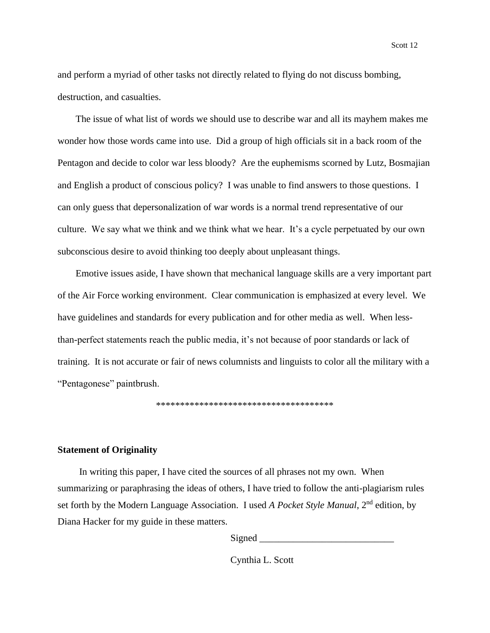and perform a myriad of other tasks not directly related to flying do not discuss bombing, destruction, and casualties.

The issue of what list of words we should use to describe war and all its mayhem makes me wonder how those words came into use. Did a group of high officials sit in a back room of the Pentagon and decide to color war less bloody? Are the euphemisms scorned by Lutz, Bosmajian and English a product of conscious policy? I was unable to find answers to those questions. I can only guess that depersonalization of war words is a normal trend representative of our culture. We say what we think and we think what we hear. It's a cycle perpetuated by our own subconscious desire to avoid thinking too deeply about unpleasant things.

Emotive issues aside, I have shown that mechanical language skills are a very important part of the Air Force working environment. Clear communication is emphasized at every level. We have guidelines and standards for every publication and for other media as well. When lessthan-perfect statements reach the public media, it's not because of poor standards or lack of training. It is not accurate or fair of news columnists and linguists to color all the military with a "Pentagonese" paintbrush.

\*\*\*\*\*\*\*\*\*\*\*\*\*\*\*\*\*\*\*\*\*\*\*\*\*\*\*\*\*\*\*\*\*\*\*\*\*

### **Statement of Originality**

In writing this paper, I have cited the sources of all phrases not my own. When summarizing or paraphrasing the ideas of others, I have tried to follow the anti-plagiarism rules set forth by the Modern Language Association. I used *A Pocket Style Manual*, 2nd edition, by Diana Hacker for my guide in these matters.

Signed  $\Box$ 

Cynthia L. Scott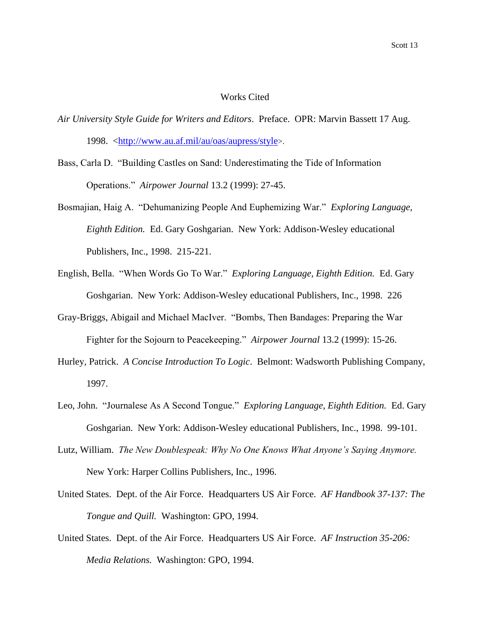### Works Cited

- *Air University Style Guide for Writers and Editors*. Preface. OPR: Marvin Bassett 17 Aug. 1998. [<http://www.au.af.mil/au/oas/aupress/style](http://www.au.af.mil/au/oas/aupress/style)>.
- Bass, Carla D. "Building Castles on Sand: Underestimating the Tide of Information Operations." *Airpower Journal* 13.2 (1999): 27-45.
- Bosmajian, Haig A. "Dehumanizing People And Euphemizing War." *Exploring Language, Eighth Edition.* Ed. Gary Goshgarian. New York: Addison-Wesley educational Publishers, Inc., 1998. 215-221.
- English, Bella. "When Words Go To War." *Exploring Language, Eighth Edition.* Ed. Gary Goshgarian. New York: Addison-Wesley educational Publishers, Inc., 1998. 226
- Gray-Briggs, Abigail and Michael MacIver. "Bombs, Then Bandages: Preparing the War Fighter for the Sojourn to Peacekeeping." *Airpower Journal* 13.2 (1999): 15-26.
- Hurley, Patrick. *A Concise Introduction To Logic*. Belmont: Wadsworth Publishing Company, 1997.
- Leo, John. "Journalese As A Second Tongue." *Exploring Language, Eighth Edition.* Ed. Gary Goshgarian. New York: Addison-Wesley educational Publishers, Inc., 1998. 99-101.
- Lutz, William. *The New Doublespeak: Why No One Knows What Anyone's Saying Anymore.* New York: Harper Collins Publishers, Inc., 1996.
- United States. Dept. of the Air Force. Headquarters US Air Force. *AF Handbook 37-137: The Tongue and Quill.* Washington: GPO, 1994.
- United States. Dept. of the Air Force. Headquarters US Air Force. *AF Instruction 35-206: Media Relations.* Washington: GPO, 1994.